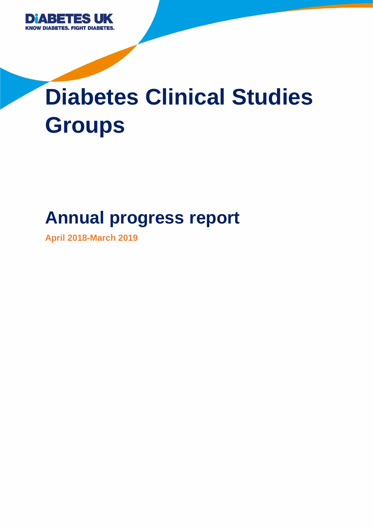

# **Diabetes Clinical Studies Groups**

# **Annual progress report**

**April 2018-March 2019**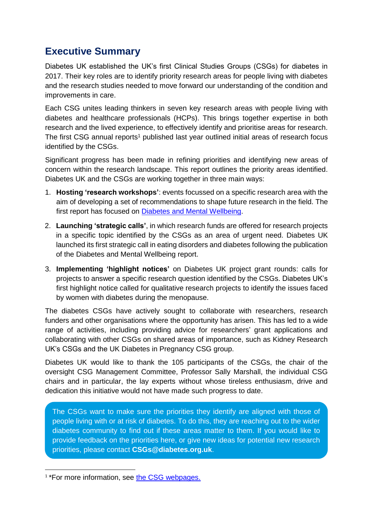# **Executive Summary**

Diabetes UK established the UK's first Clinical Studies Groups (CSGs) for diabetes in 2017. Their key roles are to identify priority research areas for people living with diabetes and the research studies needed to move forward our understanding of the condition and improvements in care.

Each CSG unites leading thinkers in seven key research areas with people living with diabetes and healthcare professionals (HCPs). This brings together expertise in both research and the lived experience, to effectively identify and prioritise areas for research. The first CSG annual reports<sup>1</sup> published last year outlined initial areas of research focus identified by the CSGs.

Significant progress has been made in refining priorities and identifying new areas of concern within the research landscape. This report outlines the priority areas identified. Diabetes UK and the CSGs are working together in three main ways:

- 1. **Hosting 'research workshops'**: events focussed on a specific research area with the aim of developing a set of recommendations to shape future research in the field. The first report has focused on [Diabetes and Mental Wellbeing.](https://onlinelibrary.wiley.com/doi/full/10.1111/dme.14048)
- 2. **Launching 'strategic calls'**, in which research funds are offered for research projects in a specific topic identified by the CSGs as an area of urgent need. Diabetes UK launched its first strategic call in eating disorders and diabetes following the publication of the Diabetes and Mental Wellbeing report.
- 3. **Implementing 'highlight notices'** on Diabetes UK project grant rounds: calls for projects to answer a specific research question identified by the CSGs. Diabetes UK's first highlight notice called for qualitative research projects to identify the issues faced by women with diabetes during the menopause.

The diabetes CSGs have actively sought to collaborate with researchers, research funders and other organisations where the opportunity has arisen. This has led to a wide range of activities, including providing advice for researchers' grant applications and collaborating with other CSGs on shared areas of importance, such as Kidney Research UK's CSGs and the UK Diabetes in Pregnancy CSG group.

Diabetes UK would like to thank the 105 participants of the CSGs, the chair of the oversight CSG Management Committee, Professor Sally Marshall, the individual CSG chairs and in particular, the lay experts without whose tireless enthusiasm, drive and dedication this initiative would not have made such progress to date.

The CSGs want to make sure the priorities they identify are aligned with those of people living with or at risk of diabetes. To do this, they are reaching out to the wider diabetes community to find out if these areas matter to them. If you would like to provide feedback on the priorities here, or give new ideas for potential new research priorities, please contact **[CSGs@diabetes.org.uk](mailto:CSGs@diabetes.org.uk)**.

<sup>&</sup>lt;sup>1</sup>\*For more information, see [the CSG webpages.](https://www.diabetes.org.uk/research/our-approach-to-research/clinical-studies-groups)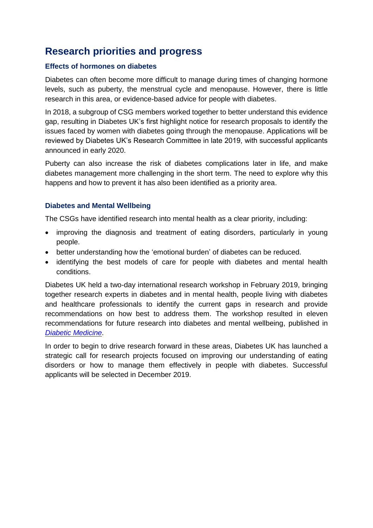# **Research priorities and progress**

# **Effects of hormones on diabetes**

Diabetes can often become more difficult to manage during times of changing hormone levels, such as puberty, the menstrual cycle and menopause. However, there is little research in this area, or evidence-based advice for people with diabetes.

In 2018, a subgroup of CSG members worked together to better understand this evidence gap, resulting in Diabetes UK's first highlight notice for research proposals to identify the issues faced by women with diabetes going through the menopause. Applications will be reviewed by Diabetes UK's Research Committee in late 2019, with successful applicants announced in early 2020.

Puberty can also increase the risk of diabetes complications later in life, and make diabetes management more challenging in the short term. The need to explore why this happens and how to prevent it has also been identified as a priority area.

# **Diabetes and Mental Wellbeing**

The CSGs have identified research into mental health as a clear priority, including:

- improving the diagnosis and treatment of eating disorders, particularly in young people.
- better understanding how the 'emotional burden' of diabetes can be reduced.
- identifying the best models of care for people with diabetes and mental health conditions.

Diabetes UK held a two-day international research workshop in February 2019, bringing together research experts in diabetes and in mental health, people living with diabetes and healthcare professionals to identify the current gaps in research and provide recommendations on how best to address them. The workshop resulted in eleven recommendations for future research into diabetes and mental wellbeing, published in *[Diabetic Medicine](https://onlinelibrary.wiley.com/doi/10.1111/dme.14048)*.

In order to begin to drive research forward in these areas, Diabetes UK has launched a strategic call for research projects focused on improving our understanding of eating disorders or how to manage them effectively in people with diabetes. Successful applicants will be selected in December 2019.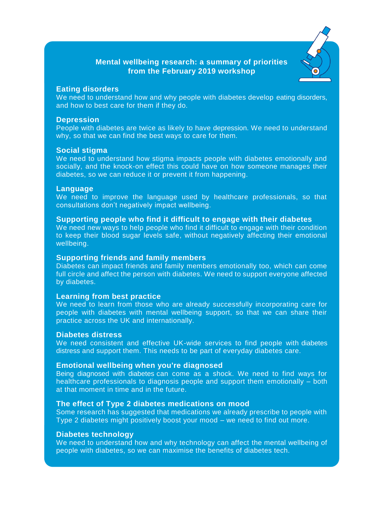# **Mental wellbeing research: a summary of priorities from the February 2019 workshop**



# **Eating disorders**

We need to understand how and why people with diabetes develop eating disorders, and how to best care for them if they do.

# **Depression**

People with diabetes are twice as likely to have depression. We need to understand why, so that we can find the best ways to care for them.

# **Social stigma**

We need to understand how stigma impacts people with diabetes emotionally and socially, and the knock-on effect this could have on how someone manages their diabetes, so we can reduce it or prevent it from happening.

# **Language**

We need to improve the language used by healthcare professionals, so that consultations don't negatively impact wellbeing.

# **Supporting people who find it difficult to engage with their diabetes**

We need new ways to help people who find it difficult to engage with their condition to keep their blood sugar levels safe, without negatively affecting their emotional wellbeing.

# **Supporting friends and family members**

Diabetes can impact friends and family members emotionally too, which can come full circle and affect the person with diabetes. We need to support everyone affected by diabetes.

# **Learning from best practice**

We need to learn from those who are already successfully incorporating care for people with diabetes with mental wellbeing support, so that we can share their practice across the UK and internationally.

#### **Diabetes distress**

We need consistent and effective UK-wide services to find people with diabetes distress and support them. This needs to be part of everyday diabetes care.

# **Emotional wellbeing when you're diagnosed**

Being diagnosed with diabetes can come as a shock. We need to find ways for healthcare professionals to diagnosis people and support them emotionally – both at that moment in time and in the future.

# **The effect of Type 2 diabetes medications on mood**

Some research has suggested that medications we already prescribe to people with Type 2 diabetes might positively boost your mood – we need to find out more.

# **Diabetes technology**

We need to understand how and why technology can affect the mental wellbeing of people with diabetes, so we can maximise the benefits of diabetes tech.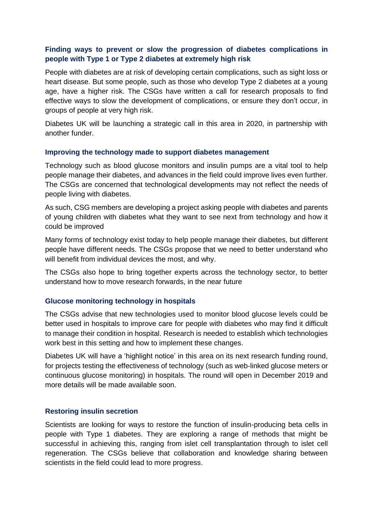# **Finding ways to prevent or slow the progression of diabetes complications in people with Type 1 or Type 2 diabetes at extremely high risk**

People with diabetes are at risk of developing certain complications, such as sight loss or heart disease. But some people, such as those who develop Type 2 diabetes at a young age, have a higher risk. The CSGs have written a call for research proposals to find effective ways to slow the development of complications, or ensure they don't occur, in groups of people at very high risk.

Diabetes UK will be launching a strategic call in this area in 2020, in partnership with another funder.

# **Improving the technology made to support diabetes management**

Technology such as blood glucose monitors and insulin pumps are a vital tool to help people manage their diabetes, and advances in the field could improve lives even further. The CSGs are concerned that technological developments may not reflect the needs of people living with diabetes.

As such, CSG members are developing a project asking people with diabetes and parents of young children with diabetes what they want to see next from technology and how it could be improved

Many forms of technology exist today to help people manage their diabetes, but different people have different needs. The CSGs propose that we need to better understand who will benefit from individual devices the most, and why.

The CSGs also hope to bring together experts across the technology sector, to better understand how to move research forwards, in the near future

# **Glucose monitoring technology in hospitals**

The CSGs advise that new technologies used to monitor blood glucose levels could be better used in hospitals to improve care for people with diabetes who may find it difficult to manage their condition in hospital. Research is needed to establish which technologies work best in this setting and how to implement these changes.

Diabetes UK will have a 'highlight notice' in this area on its next research funding round, for projects testing the effectiveness of technology (such as web-linked glucose meters or continuous glucose monitoring) in hospitals. The round will open in December 2019 and more details will be made available soon.

# **Restoring insulin secretion**

Scientists are looking for ways to restore the function of insulin-producing beta cells in people with Type 1 diabetes. They are exploring a range of methods that might be successful in achieving this, ranging from islet cell transplantation through to islet cell regeneration. The CSGs believe that collaboration and knowledge sharing between scientists in the field could lead to more progress.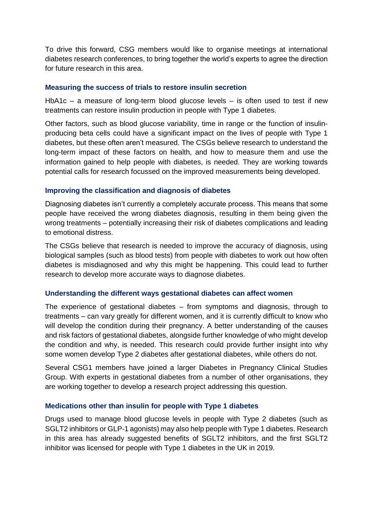To drive this forward, CSG members would like to organise meetings at international diabetes research conferences, to bring together the world's experts to agree the direction for future research in this area.

# **Measuring the success of trials to restore insulin secretion**

HbA1c – a measure of long-term blood glucose levels – is often used to test if new treatments can restore insulin production in people with Type 1 diabetes.

Other factors, such as blood glucose variability, time in range or the function of insulinproducing beta cells could have a significant impact on the lives of people with Type 1 diabetes, but these often aren't measured. The CSGs believe research to understand the long-term impact of these factors on health, and how to measure them and use the information gained to help people with diabetes, is needed. They are working towards potential calls for research focussed on the improved measurements being developed.

# **Improving the classification and diagnosis of diabetes**

Diagnosing diabetes isn't currently a completely accurate process. This means that some people have received the wrong diabetes diagnosis, resulting in them being given the wrong treatments – potentially increasing their risk of diabetes complications and leading to emotional distress.

The CSGs believe that research is needed to improve the accuracy of diagnosis, using biological samples (such as blood tests) from people with diabetes to work out how often diabetes is misdiagnosed and why this might be happening. This could lead to further research to develop more accurate ways to diagnose diabetes.

# **Understanding the different ways gestational diabetes can affect women**

The experience of gestational diabetes – from symptoms and diagnosis, through to treatments – can vary greatly for different women, and it is currently difficult to know who will develop the condition during their pregnancy. A better understanding of the causes and risk factors of gestational diabetes, alongside further knowledge of who might develop the condition and why, is needed. This research could provide further insight into why some women develop Type 2 diabetes after gestational diabetes, while others do not.

Several CSG1 members have joined a larger Diabetes in Pregnancy Clinical Studies Group. With experts in gestational diabetes from a number of other organisations, they are working together to develop a research project addressing this question.

# **Medications other than insulin for people with Type 1 diabetes**

Drugs used to manage blood glucose levels in people with Type 2 diabetes (such as SGLT2 inhibitors or GLP-1 agonists) may also help people with Type 1 diabetes. Research in this area has already suggested benefits of SGLT2 inhibitors, and the first SGLT2 inhibitor was licensed for people with Type 1 diabetes in the UK in 2019.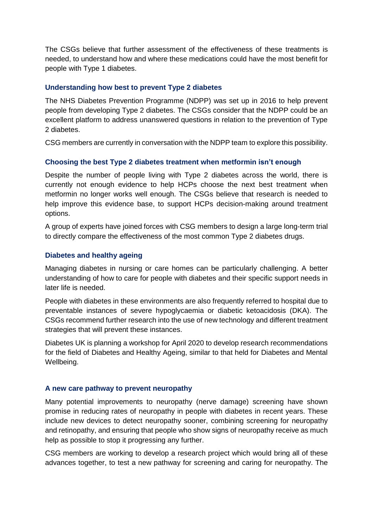The CSGs believe that further assessment of the effectiveness of these treatments is needed, to understand how and where these medications could have the most benefit for people with Type 1 diabetes.

# **Understanding how best to prevent Type 2 diabetes**

The NHS Diabetes Prevention Programme (NDPP) was set up in 2016 to help prevent people from developing Type 2 diabetes. The CSGs consider that the NDPP could be an excellent platform to address unanswered questions in relation to the prevention of Type 2 diabetes.

CSG members are currently in conversation with the NDPP team to explore this possibility.

# **Choosing the best Type 2 diabetes treatment when metformin isn't enough**

Despite the number of people living with Type 2 diabetes across the world, there is currently not enough evidence to help HCPs choose the next best treatment when metformin no longer works well enough. The CSGs believe that research is needed to help improve this evidence base, to support HCPs decision-making around treatment options.

A group of experts have joined forces with CSG members to design a large long-term trial to directly compare the effectiveness of the most common Type 2 diabetes drugs.

# **Diabetes and healthy ageing**

Managing diabetes in nursing or care homes can be particularly challenging. A better understanding of how to care for people with diabetes and their specific support needs in later life is needed.

People with diabetes in these environments are also frequently referred to hospital due to preventable instances of severe hypoglycaemia or diabetic ketoacidosis (DKA). The CSGs recommend further research into the use of new technology and different treatment strategies that will prevent these instances.

Diabetes UK is planning a workshop for April 2020 to develop research recommendations for the field of Diabetes and Healthy Ageing, similar to that held for Diabetes and Mental Wellbeing.

# **A new care pathway to prevent neuropathy**

Many potential improvements to neuropathy (nerve damage) screening have shown promise in reducing rates of neuropathy in people with diabetes in recent years. These include new devices to detect neuropathy sooner, combining screening for neuropathy and retinopathy, and ensuring that people who show signs of neuropathy receive as much help as possible to stop it progressing any further.

CSG members are working to develop a research project which would bring all of these advances together, to test a new pathway for screening and caring for neuropathy. The